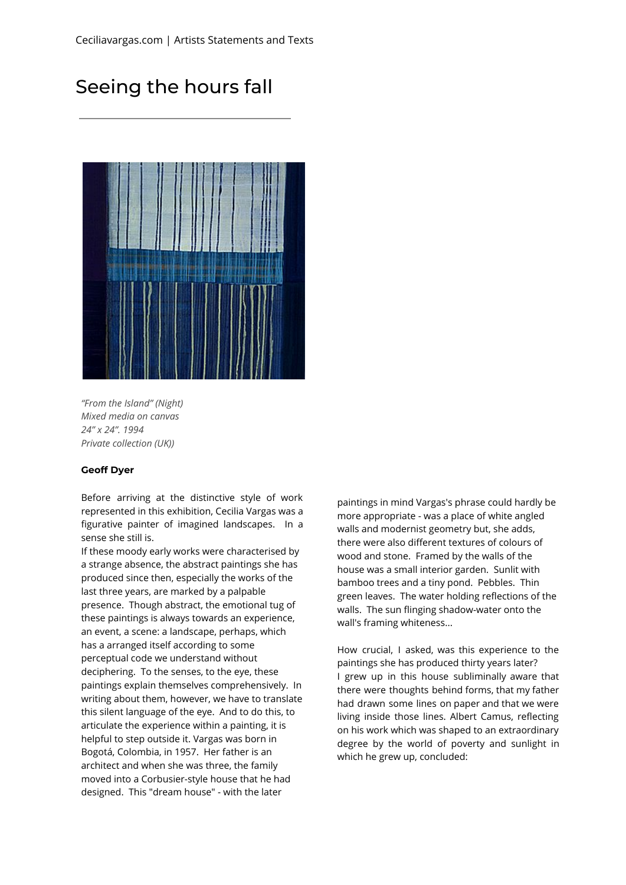## Seeing the hours fall



*"From the Island" (Night) Mixed media on canvas 24" x 24". 1994 Private collection (UK))*

## **Geoff Dyer**

Before arriving at the distinctive style of work represented in this exhibition, Cecilia Vargas was a figurative painter of imagined landscapes. In a sense she still is.

If these moody early works were characterised by a strange absence, the abstract paintings she has produced since then, especially the works of the last three years, are marked by a palpable presence. Though abstract, the emotional tug of these paintings is always towards an experience, an event, a scene: a landscape, perhaps, which has a arranged itself according to some perceptual code we understand without deciphering. To the senses, to the eye, these paintings explain themselves comprehensively. In writing about them, however, we have to translate this silent language of the eye. And to do this, to articulate the experience within a painting, it is helpful to step outside it. Vargas was born in Bogotá, Colombia, in 1957. Her father is an architect and when she was three, the family moved into a Corbusier-style house that he had designed. This "dream house" - with the later

paintings in mind Vargas's phrase could hardly be more appropriate - was a place of white angled walls and modernist geometry but, she adds, there were also different textures of colours of wood and stone. Framed by the walls of the house was a small interior garden. Sunlit with bamboo trees and a tiny pond. Pebbles. Thin green leaves. The water holding reflections of the walls. The sun flinging shadow-water onto the wall's framing whiteness...

How crucial, I asked, was this experience to the paintings she has produced thirty years later? I grew up in this house subliminally aware that there were thoughts behind forms, that my father had drawn some lines on paper and that we were living inside those lines. Albert Camus, reflecting on his work which was shaped to an extraordinary degree by the world of poverty and sunlight in which he grew up, concluded: